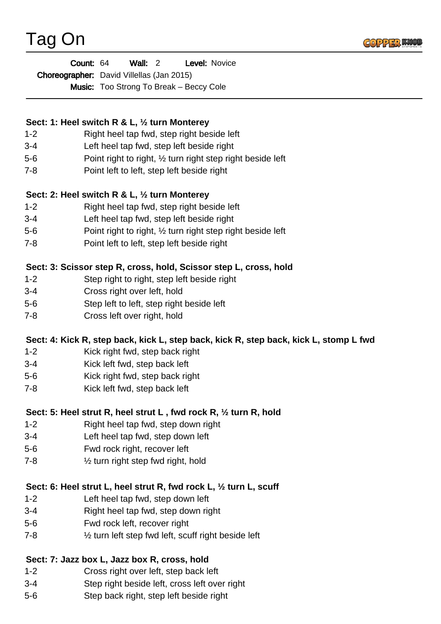



| Count: 64                                 | Wall: 2 |                                                | <b>Level: Novice</b> |
|-------------------------------------------|---------|------------------------------------------------|----------------------|
| Choreographer: David Villellas (Jan 2015) |         |                                                |                      |
|                                           |         | <b>Music:</b> Too Strong To Break – Beccy Cole |                      |

# **Sect: 1: Heel switch R & L, ½ turn Monterey**

- 1-2 Right heel tap fwd, step right beside left
- 3-4 Left heel tap fwd, step left beside right
- 5-6 Point right to right, ½ turn right step right beside left
- 7-8 Point left to left, step left beside right

### **Sect: 2: Heel switch R & L, ½ turn Monterey**

- 1-2 Right heel tap fwd, step right beside left
- 3-4 Left heel tap fwd, step left beside right
- 5-6 Point right to right, ½ turn right step right beside left
- 7-8 Point left to left, step left beside right

### **Sect: 3: Scissor step R, cross, hold, Scissor step L, cross, hold**

- 1-2 Step right to right, step left beside right
- 3-4 Cross right over left, hold
- 5-6 Step left to left, step right beside left
- 7-8 Cross left over right, hold

# **Sect: 4: Kick R, step back, kick L, step back, kick R, step back, kick L, stomp L fwd**

- 1-2 Kick right fwd, step back right
- 3-4 Kick left fwd, step back left
- 5-6 Kick right fwd, step back right
- 7-8 Kick left fwd, step back left

# **Sect: 5: Heel strut R, heel strut L , fwd rock R, ½ turn R, hold**

- 1-2 Right heel tap fwd, step down right
- 3-4 Left heel tap fwd, step down left
- 5-6 Fwd rock right, recover left
- 7-8 ½ turn right step fwd right, hold

#### **Sect: 6: Heel strut L, heel strut R, fwd rock L, ½ turn L, scuff**

- 1-2 Left heel tap fwd, step down left
- 3-4 Right heel tap fwd, step down right
- 5-6 Fwd rock left, recover right
- 7-8 ½ turn left step fwd left, scuff right beside left

#### **Sect: 7: Jazz box L, Jazz box R, cross, hold**

- 1-2 Cross right over left, step back left
- 3-4 Step right beside left, cross left over right
- 5-6 Step back right, step left beside right